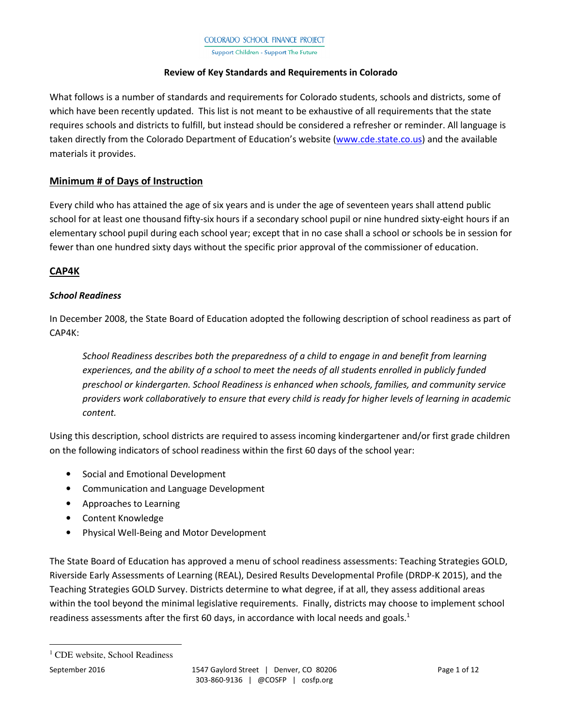Support Children - Support The Future

#### **Review of Key Standards and Requirements in Colorado**

What follows is a number of standards and requirements for Colorado students, schools and districts, some of which have been recently updated. This list is not meant to be exhaustive of all requirements that the state requires schools and districts to fulfill, but instead should be considered a refresher or reminder. All language is taken directly from the Colorado Department of Education's website (www.cde.state.co.us) and the available materials it provides.

## **Minimum # of Days of Instruction**

Every child who has attained the age of six years and is under the age of seventeen years shall attend public school for at least one thousand fifty-six hours if a secondary school pupil or nine hundred sixty-eight hours if an elementary school pupil during each school year; except that in no case shall a school or schools be in session for fewer than one hundred sixty days without the specific prior approval of the commissioner of education.

# **CAP4K**

## *School Readiness*

In December 2008, the State Board of Education adopted the following description of school readiness as part of CAP4K:

*School Readiness describes both the preparedness of a child to engage in and benefit from learning experiences, and the ability of a school to meet the needs of all students enrolled in publicly funded preschool or kindergarten. School Readiness is enhanced when schools, families, and community service providers work collaboratively to ensure that every child is ready for higher levels of learning in academic content.* 

Using this description, school districts are required to assess incoming kindergartener and/or first grade children on the following indicators of school readiness within the first 60 days of the school year:

- Social and Emotional Development
- Communication and Language Development
- Approaches to Learning
- Content Knowledge
- Physical Well-Being and Motor Development

The State Board of Education has approved a menu of school readiness assessments: Teaching Strategies GOLD, Riverside Early Assessments of Learning (REAL), Desired Results Developmental Profile (DRDP-K 2015), and the Teaching Strategies GOLD Survey. Districts determine to what degree, if at all, they assess additional areas within the tool beyond the minimal legislative requirements. Finally, districts may choose to implement school readiness assessments after the first 60 days, in accordance with local needs and goals. $1$ 

<sup>&</sup>lt;sup>1</sup> CDE website, School Readiness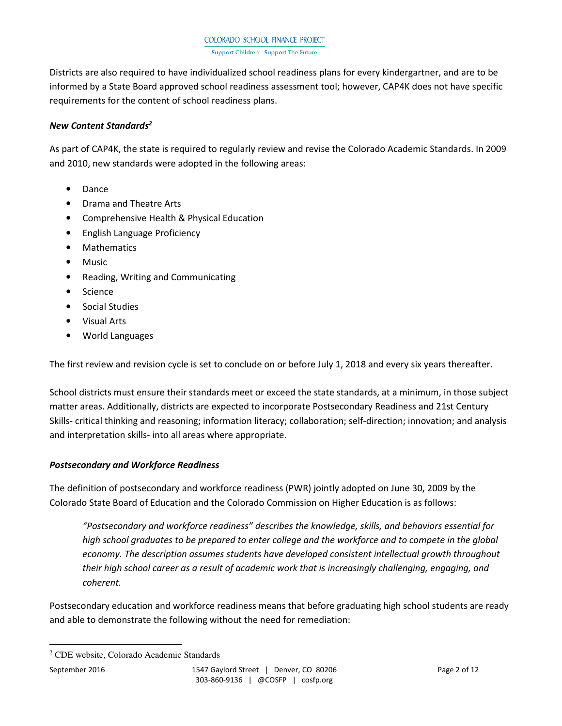Districts are also required to have individualized school readiness plans for every kindergartner, and are to be informed by a State Board approved school readiness assessment tool; however, CAP4K does not have specific requirements for the content of school readiness plans.

## *New Content Standards<sup>2</sup>*

As part of CAP4K, the state is required to regularly review and revise the Colorado Academic Standards. In 2009 and 2010, new standards were adopted in the following areas:

- Dance
- Drama and Theatre Arts
- Comprehensive Health & Physical Education
- English Language Proficiency
- Mathematics
- Music
- Reading, Writing and Communicating
- Science
- Social Studies
- Visual Arts
- World Languages

The first review and revision cycle is set to conclude on or before July 1, 2018 and every six years thereafter.

School districts must ensure their standards meet or exceed the state standards, at a minimum, in those subject matter areas. Additionally, districts are expected to incorporate Postsecondary Readiness and 21st Century Skills- critical thinking and reasoning; information literacy; collaboration; self-direction; innovation; and analysis and interpretation skills- into all areas where appropriate.

## *Postsecondary and Workforce Readiness*

The definition of postsecondary and workforce readiness (PWR) jointly adopted on June 30, 2009 by the Colorado State Board of Education and the Colorado Commission on Higher Education is as follows:

*"Postsecondary and workforce readiness" describes the knowledge, skills, and behaviors essential for high school graduates to be prepared to enter college and the workforce and to compete in the global economy. The description assumes students have developed consistent intellectual growth throughout their high school career as a result of academic work that is increasingly challenging, engaging, and coherent.* 

Postsecondary education and workforce readiness means that before graduating high school students are ready and able to demonstrate the following without the need for remediation:

<sup>2</sup> CDE website, Colorado Academic Standards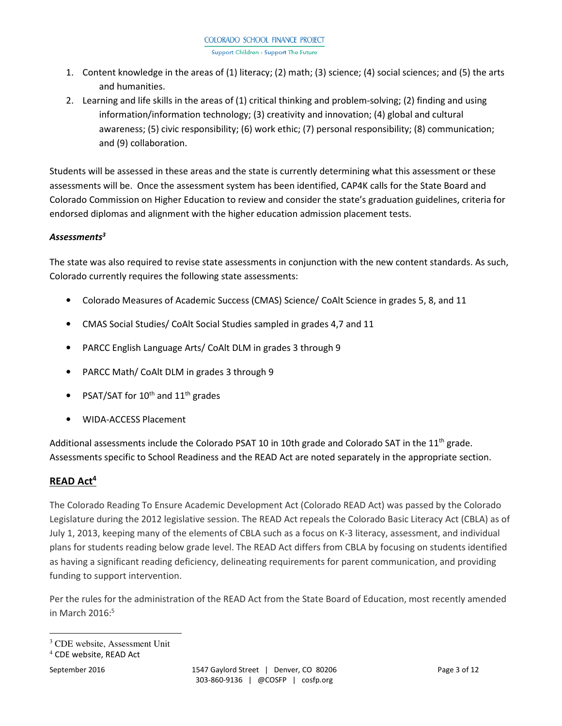- 1. Content knowledge in the areas of (1) literacy; (2) math; (3) science; (4) social sciences; and (5) the arts and humanities.
- 2. Learning and life skills in the areas of (1) critical thinking and problem-solving; (2) finding and using information/information technology; (3) creativity and innovation; (4) global and cultural awareness; (5) civic responsibility; (6) work ethic; (7) personal responsibility; (8) communication; and (9) collaboration.

Students will be assessed in these areas and the state is currently determining what this assessment or these assessments will be. Once the assessment system has been identified, CAP4K calls for the State Board and Colorado Commission on Higher Education to review and consider the state's graduation guidelines, criteria for endorsed diplomas and alignment with the higher education admission placement tests.

# *Assessments<sup>3</sup>*

The state was also required to revise state assessments in conjunction with the new content standards. As such, Colorado currently requires the following state assessments:

- Colorado Measures of Academic Success (CMAS) Science/ CoAlt Science in grades 5, 8, and 11
- CMAS Social Studies/ CoAlt Social Studies sampled in grades 4,7 and 11
- PARCC English Language Arts/ CoAlt DLM in grades 3 through 9
- PARCC Math/ CoAlt DLM in grades 3 through 9
- PSAT/SAT for  $10^{th}$  and  $11^{th}$  grades
- WIDA-ACCESS Placement

Additional assessments include the Colorado PSAT 10 in 10th grade and Colorado SAT in the  $11<sup>th</sup>$  grade. Assessments specific to School Readiness and the READ Act are noted separately in the appropriate section.

# **READ Act<sup>4</sup>**

The Colorado Reading To Ensure Academic Development Act (Colorado READ Act) was passed by the Colorado Legislature during the 2012 legislative session. The READ Act repeals the Colorado Basic Literacy Act (CBLA) as of July 1, 2013, keeping many of the elements of CBLA such as a focus on K-3 literacy, assessment, and individual plans for students reading below grade level. The READ Act differs from CBLA by focusing on students identified as having a significant reading deficiency, delineating requirements for parent communication, and providing funding to support intervention.

Per the rules for the administration of the READ Act from the State Board of Education, most recently amended in March  $2016$ : $5$ 

<sup>3</sup> CDE website, Assessment Unit

<sup>4</sup> CDE website, READ Act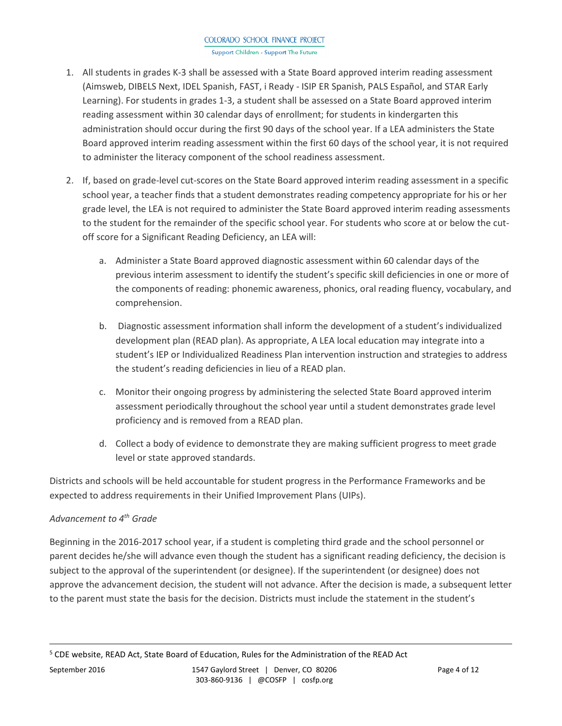Support Children - Support The Future

- 1. All students in grades K-3 shall be assessed with a State Board approved interim reading assessment (Aimsweb, DIBELS Next, IDEL Spanish, FAST, i Ready - ISIP ER Spanish, PALS Español, and STAR Early Learning). For students in grades 1-3, a student shall be assessed on a State Board approved interim reading assessment within 30 calendar days of enrollment; for students in kindergarten this administration should occur during the first 90 days of the school year. If a LEA administers the State Board approved interim reading assessment within the first 60 days of the school year, it is not required to administer the literacy component of the school readiness assessment.
- 2. If, based on grade-level cut-scores on the State Board approved interim reading assessment in a specific school year, a teacher finds that a student demonstrates reading competency appropriate for his or her grade level, the LEA is not required to administer the State Board approved interim reading assessments to the student for the remainder of the specific school year. For students who score at or below the cutoff score for a Significant Reading Deficiency, an LEA will:
	- a. Administer a State Board approved diagnostic assessment within 60 calendar days of the previous interim assessment to identify the student's specific skill deficiencies in one or more of the components of reading: phonemic awareness, phonics, oral reading fluency, vocabulary, and comprehension.
	- b. Diagnostic assessment information shall inform the development of a student's individualized development plan (READ plan). As appropriate, A LEA local education may integrate into a student's IEP or Individualized Readiness Plan intervention instruction and strategies to address the student's reading deficiencies in lieu of a READ plan.
	- c. Monitor their ongoing progress by administering the selected State Board approved interim assessment periodically throughout the school year until a student demonstrates grade level proficiency and is removed from a READ plan.
	- d. Collect a body of evidence to demonstrate they are making sufficient progress to meet grade level or state approved standards.

Districts and schools will be held accountable for student progress in the Performance Frameworks and be expected to address requirements in their Unified Improvement Plans (UIPs).

# *Advancement to 4th Grade*

Beginning in the 2016-2017 school year, if a student is completing third grade and the school personnel or parent decides he/she will advance even though the student has a significant reading deficiency, the decision is subject to the approval of the superintendent (or designee). If the superintendent (or designee) does not approve the advancement decision, the student will not advance. After the decision is made, a subsequent letter to the parent must state the basis for the decision. Districts must include the statement in the student's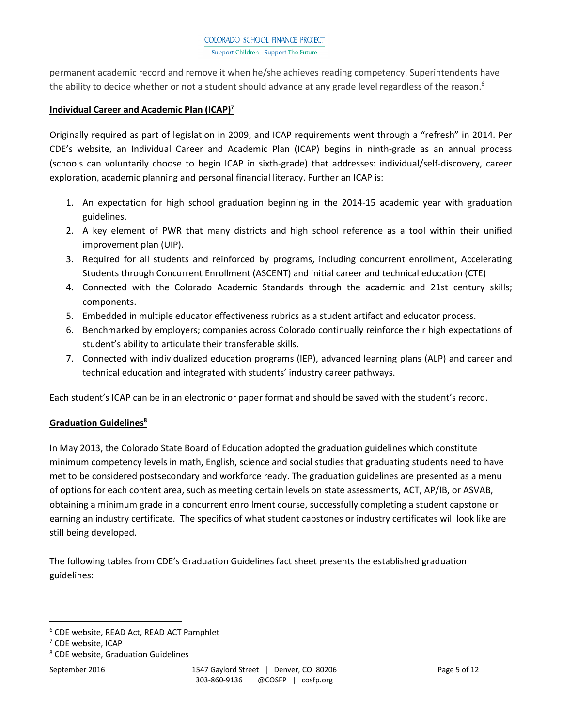permanent academic record and remove it when he/she achieves reading competency. Superintendents have the ability to decide whether or not a student should advance at any grade level regardless of the reason.<sup>6</sup>

#### **Individual Career and Academic Plan (ICAP)<sup>7</sup>**

Originally required as part of legislation in 2009, and ICAP requirements went through a "refresh" in 2014. Per CDE's website, an Individual Career and Academic Plan (ICAP) begins in ninth-grade as an annual process (schools can voluntarily choose to begin ICAP in sixth-grade) that addresses: individual/self-discovery, career exploration, academic planning and personal financial literacy. Further an ICAP is:

- 1. An expectation for high school graduation beginning in the 2014-15 academic year with graduation guidelines.
- 2. A key element of PWR that many districts and high school reference as a tool within their unified improvement plan (UIP).
- 3. Required for all students and reinforced by programs, including concurrent enrollment, Accelerating Students through Concurrent Enrollment (ASCENT) and initial career and technical education (CTE)
- 4. Connected with the Colorado Academic Standards through the academic and 21st century skills; components.
- 5. Embedded in multiple educator effectiveness rubrics as a student artifact and educator process.
- 6. Benchmarked by employers; companies across Colorado continually reinforce their high expectations of student's ability to articulate their transferable skills.
- 7. Connected with individualized education programs (IEP), advanced learning plans (ALP) and career and technical education and integrated with students' industry career pathways.

Each student's ICAP can be in an electronic or paper format and should be saved with the student's record.

## **Graduation Guidelines<sup>8</sup>**

In May 2013, the Colorado State Board of Education adopted the graduation guidelines which constitute minimum competency levels in math, English, science and social studies that graduating students need to have met to be considered postsecondary and workforce ready. The graduation guidelines are presented as a menu of options for each content area, such as meeting certain levels on state assessments, ACT, AP/IB, or ASVAB, obtaining a minimum grade in a concurrent enrollment course, successfully completing a student capstone or earning an industry certificate. The specifics of what student capstones or industry certificates will look like are still being developed.

The following tables from CDE's Graduation Guidelines fact sheet presents the established graduation guidelines:

<sup>6</sup> CDE website, READ Act, READ ACT Pamphlet

<sup>7</sup> CDE website, ICAP

<sup>8</sup> CDE website, Graduation Guidelines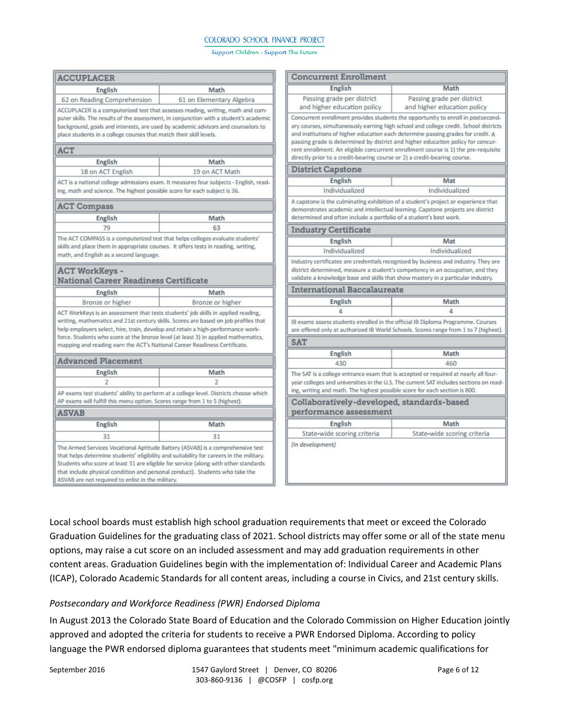#### Support Children - Support The Future

| <b>ACCUPLACER</b>                                                                                                                                                                                                                                                                                                                  |                                                                                                                                                                                                                                                                  | <b>Concurrent Enrollment</b>                                                                                                                                                                                                                               |                                                                                                                                                                                                                                                                                                                                                 |  |
|------------------------------------------------------------------------------------------------------------------------------------------------------------------------------------------------------------------------------------------------------------------------------------------------------------------------------------|------------------------------------------------------------------------------------------------------------------------------------------------------------------------------------------------------------------------------------------------------------------|------------------------------------------------------------------------------------------------------------------------------------------------------------------------------------------------------------------------------------------------------------|-------------------------------------------------------------------------------------------------------------------------------------------------------------------------------------------------------------------------------------------------------------------------------------------------------------------------------------------------|--|
| <b>English</b>                                                                                                                                                                                                                                                                                                                     | Math                                                                                                                                                                                                                                                             | <b>English</b>                                                                                                                                                                                                                                             | Math                                                                                                                                                                                                                                                                                                                                            |  |
| 62 on Reading Comprehension                                                                                                                                                                                                                                                                                                        | 61 on Elementary Algebra                                                                                                                                                                                                                                         | Passing grade per district<br>and higher education policy                                                                                                                                                                                                  | Passing grade per district<br>and higher education policy                                                                                                                                                                                                                                                                                       |  |
| ACCUPLACER is a computerized test that assesses reading, writing, math and com-<br>puter skills. The results of the assessment, in conjunction with a student's academic<br>background, goals and interests, are used by academic advisors and counselors to<br>place students in a college courses that match their skill levels. |                                                                                                                                                                                                                                                                  |                                                                                                                                                                                                                                                            | Concurrent enrollment provides students the opportunity to enroll in postsecond-<br>ary courses, simultaneously earning high school and college credit. School districts<br>and institutions of higher education each determine passing grades for credit. A<br>passing grade is determined by district and higher education policy for concur- |  |
| <b>ACT</b>                                                                                                                                                                                                                                                                                                                         |                                                                                                                                                                                                                                                                  | directly prior to a credit-bearing course or 2) a credit-bearing course.                                                                                                                                                                                   | rent enrollment. An eligible concurrent enrollment course is 1) the pre-requisite                                                                                                                                                                                                                                                               |  |
| <b>English</b>                                                                                                                                                                                                                                                                                                                     | Math                                                                                                                                                                                                                                                             | <b>District Capstone</b>                                                                                                                                                                                                                                   |                                                                                                                                                                                                                                                                                                                                                 |  |
| 18 on ACT English                                                                                                                                                                                                                                                                                                                  | 19 on ACT Math                                                                                                                                                                                                                                                   |                                                                                                                                                                                                                                                            | Mat                                                                                                                                                                                                                                                                                                                                             |  |
|                                                                                                                                                                                                                                                                                                                                    | ACT is a national college admissions exam. It measures four subjects - English, read-                                                                                                                                                                            | <b>English</b>                                                                                                                                                                                                                                             |                                                                                                                                                                                                                                                                                                                                                 |  |
| ing, math and science. The highest possible score for each subject is 36.                                                                                                                                                                                                                                                          |                                                                                                                                                                                                                                                                  | Individualized                                                                                                                                                                                                                                             | Individualized                                                                                                                                                                                                                                                                                                                                  |  |
| <b>ACT Compass</b>                                                                                                                                                                                                                                                                                                                 |                                                                                                                                                                                                                                                                  |                                                                                                                                                                                                                                                            | A capstone is the culminating exhibition of a student's project or experience that<br>demonstrates academic and intellectual learning. Capstone projects are district                                                                                                                                                                           |  |
| <b>English</b>                                                                                                                                                                                                                                                                                                                     | Math                                                                                                                                                                                                                                                             | determined and often include a portfolio of a student's best work.                                                                                                                                                                                         |                                                                                                                                                                                                                                                                                                                                                 |  |
| 79                                                                                                                                                                                                                                                                                                                                 | 63                                                                                                                                                                                                                                                               | <b>Industry Certificate</b>                                                                                                                                                                                                                                |                                                                                                                                                                                                                                                                                                                                                 |  |
| The ACT COMPASS is a computerized test that helps colleges evaluate students'                                                                                                                                                                                                                                                      |                                                                                                                                                                                                                                                                  | <b>English</b>                                                                                                                                                                                                                                             | Mat                                                                                                                                                                                                                                                                                                                                             |  |
| skills and place them in appropriate courses. It offers tests in reading, writing,<br>math, and English as a second language.                                                                                                                                                                                                      |                                                                                                                                                                                                                                                                  | Individualized                                                                                                                                                                                                                                             | Individualized                                                                                                                                                                                                                                                                                                                                  |  |
| <b>ACT WorkKeys -</b><br><b>National Career Readiness Certificate</b><br><b>English</b>                                                                                                                                                                                                                                            | Math                                                                                                                                                                                                                                                             | <b>International Baccalaureate</b>                                                                                                                                                                                                                         | Industry certificates are credentials recognized by business and industry. They are<br>district determined, measure a student's competency in an occupation, and they<br>validate a knowledge base and skills that show mastery in a particular industry.                                                                                       |  |
|                                                                                                                                                                                                                                                                                                                                    |                                                                                                                                                                                                                                                                  | <b>English</b>                                                                                                                                                                                                                                             | Math                                                                                                                                                                                                                                                                                                                                            |  |
| Bronze or higher                                                                                                                                                                                                                                                                                                                   | Bronze or higher                                                                                                                                                                                                                                                 | 4                                                                                                                                                                                                                                                          | Δ                                                                                                                                                                                                                                                                                                                                               |  |
| help employers select, hire, train, develop and retain a high-performance work-                                                                                                                                                                                                                                                    | ACT WorkKeys is an assessment that tests students' job skills in applied reading,<br>writing, mathematics and 21st century skills. Scores are based on job profiles that<br>force. Students who score at the bronze level (at least 3) in applied mathematics,   |                                                                                                                                                                                                                                                            | IB exams assess students enrolled in the official IB Diploma Programme. Courses<br>are offered only at authorized IB World Schools. Scores range from 1 to 7 (highest).                                                                                                                                                                         |  |
| mapping and reading earn the ACT's National Career Readiness Certificate.                                                                                                                                                                                                                                                          |                                                                                                                                                                                                                                                                  | <b>SAT</b>                                                                                                                                                                                                                                                 |                                                                                                                                                                                                                                                                                                                                                 |  |
|                                                                                                                                                                                                                                                                                                                                    |                                                                                                                                                                                                                                                                  | <b>English</b>                                                                                                                                                                                                                                             | Math                                                                                                                                                                                                                                                                                                                                            |  |
| <b>Advanced Placement</b>                                                                                                                                                                                                                                                                                                          |                                                                                                                                                                                                                                                                  | 430                                                                                                                                                                                                                                                        | 460                                                                                                                                                                                                                                                                                                                                             |  |
| <b>English</b>                                                                                                                                                                                                                                                                                                                     | Math<br>$\overline{2}$<br>AP exams test students' ability to perform at a college level. Districts choose which                                                                                                                                                  | The SAT is a college entrance exam that is accepted or required at nearly all four-<br>year colleges and universities in the U.S. The current SAT includes sections on read-<br>ing, writing and math. The highest possible score for each section is 800. |                                                                                                                                                                                                                                                                                                                                                 |  |
| AP exams will fulfill this menu option. Scores range from 1 to 5 (highest).                                                                                                                                                                                                                                                        |                                                                                                                                                                                                                                                                  | Collaboratively-developed, standards-based                                                                                                                                                                                                                 |                                                                                                                                                                                                                                                                                                                                                 |  |
| <b>ASVAB</b>                                                                                                                                                                                                                                                                                                                       |                                                                                                                                                                                                                                                                  | performance assessment                                                                                                                                                                                                                                     |                                                                                                                                                                                                                                                                                                                                                 |  |
| <b>English</b>                                                                                                                                                                                                                                                                                                                     | Math                                                                                                                                                                                                                                                             | <b>English</b>                                                                                                                                                                                                                                             | Math                                                                                                                                                                                                                                                                                                                                            |  |
| 31                                                                                                                                                                                                                                                                                                                                 | 31                                                                                                                                                                                                                                                               | State-wide scoring criteria                                                                                                                                                                                                                                | State-wide scoring criteria                                                                                                                                                                                                                                                                                                                     |  |
| that include physical condition and personal conduct). Students who take the<br>ASVAB are not required to enlist in the military.                                                                                                                                                                                                  | The Armed Services Vocational Aptitude Battery (ASVAB) is a comprehensive test<br>that helps determine students' eligibility and suitability for careers in the military.<br>Students who score at least 31 are eligible for service (along with other standards | (In development)                                                                                                                                                                                                                                           |                                                                                                                                                                                                                                                                                                                                                 |  |

Local school boards must establish high school graduation requirements that meet or exceed the Colorado Graduation Guidelines for the graduating class of 2021. School districts may offer some or all of the state menu options, may raise a cut score on an included assessment and may add graduation requirements in other content areas. Graduation Guidelines begin with the implementation of: Individual Career and Academic Plans (ICAP), Colorado Academic Standards for all content areas, including a course in Civics, and 21st century skills.

## *Postsecondary and Workforce Readiness (PWR) Endorsed Diploma*

In August 2013 the Colorado State Board of Education and the Colorado Commission on Higher Education jointly approved and adopted the criteria for students to receive a PWR Endorsed Diploma. According to policy language the PWR endorsed diploma guarantees that students meet "minimum academic qualifications for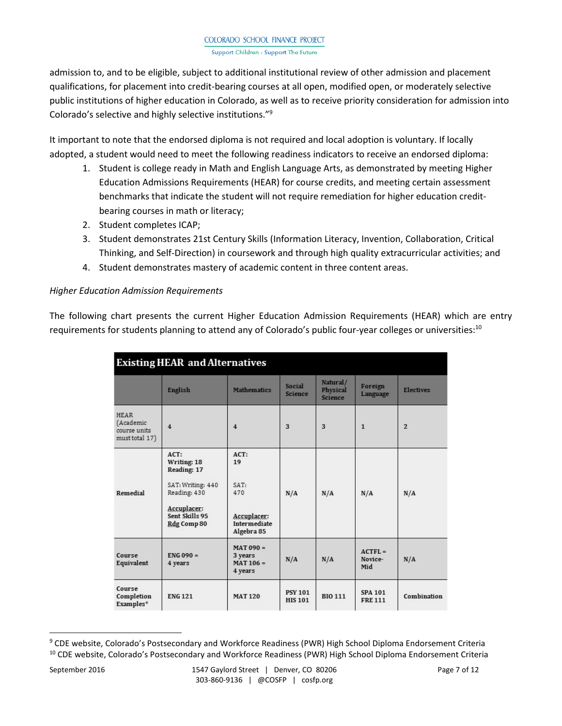admission to, and to be eligible, subject to additional institutional review of other admission and placement qualifications, for placement into credit-bearing courses at all open, modified open, or moderately selective public institutions of higher education in Colorado, as well as to receive priority consideration for admission into Colorado's selective and highly selective institutions."<sup>9</sup>

It important to note that the endorsed diploma is not required and local adoption is voluntary. If locally adopted, a student would need to meet the following readiness indicators to receive an endorsed diploma:

- 1. Student is college ready in Math and English Language Arts, as demonstrated by meeting Higher Education Admissions Requirements (HEAR) for course credits, and meeting certain assessment benchmarks that indicate the student will not require remediation for higher education creditbearing courses in math or literacy;
- 2. Student completes ICAP;
- 3. Student demonstrates 21st Century Skills (Information Literacy, Invention, Collaboration, Critical Thinking, and Self-Direction) in coursework and through high quality extracurricular activities; and
- 4. Student demonstrates mastery of academic content in three content areas.

## *Higher Education Admission Requirements*

The following chart presents the current Higher Education Admission Requirements (HEAR) which are entry requirements for students planning to attend any of Colorado's public four-year colleges or universities:<sup>10</sup>

| <b>Existing HEAR and Alternatives</b>                      |                                                                                                                            |                                                                           |                                  |                                        |                                 |                  |
|------------------------------------------------------------|----------------------------------------------------------------------------------------------------------------------------|---------------------------------------------------------------------------|----------------------------------|----------------------------------------|---------------------------------|------------------|
|                                                            | English                                                                                                                    | <b>Mathematics</b>                                                        | Social<br><b>Science</b>         | Natural/<br>Physical<br><b>Science</b> | Foreign<br>Language             | <b>Electives</b> |
| <b>HEAR</b><br>(Academic<br>course units<br>must total 17) | $\overline{4}$                                                                                                             | $\overline{4}$                                                            | 3                                | 3                                      | $\mathbf{1}$                    | $\overline{2}$   |
| Remedial                                                   | $ACT$ :<br>Writing: 18<br>Reading: 17<br>SAT: Writing: 440<br>Reading: 430<br>Accuplacer:<br>Sent Skills 95<br>Rdg Comp 80 | $ACT$ :<br>19<br>SAT:<br>470<br>Accuplacer:<br>Intermediate<br>Algebra 85 | N/A                              | N/A                                    | N/A                             | N/A              |
| Course<br>Equivalent                                       | $ENG$ 090 =<br>4 years                                                                                                     | $MAT090 =$<br>3 years<br>$MAT 106 =$<br>4 years                           | N/A                              | N/A                                    | $ACTFL =$<br>Novice-<br>Mid     | N/A              |
| Course<br>Completion<br>Examples*                          | <b>ENG 121</b>                                                                                                             | <b>MAT 120</b>                                                            | <b>PSY 101</b><br><b>HIS 101</b> | <b>BIO 111</b>                         | <b>SPA 101</b><br><b>FRE111</b> | Combination      |

<sup>&</sup>lt;sup>9</sup> CDE website, Colorado's Postsecondary and Workforce Readiness (PWR) High School Diploma Endorsement Criteria <sup>10</sup> CDE website, Colorado's Postsecondary and Workforce Readiness (PWR) High School Diploma Endorsement Criteria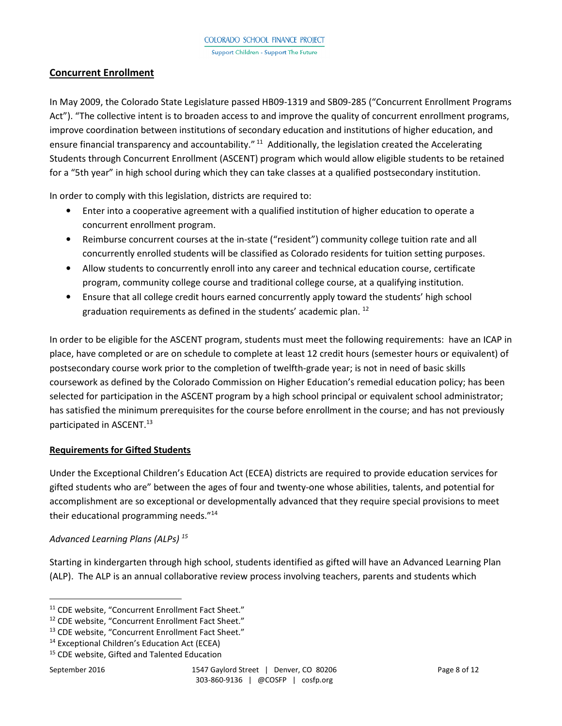# **Concurrent Enrollment**

In May 2009, the Colorado State Legislature passed HB09-1319 and SB09-285 ("Concurrent Enrollment Programs Act"). "The collective intent is to broaden access to and improve the quality of concurrent enrollment programs, improve coordination between institutions of secondary education and institutions of higher education, and ensure financial transparency and accountability."<sup>11</sup> Additionally, the legislation created the Accelerating Students through Concurrent Enrollment (ASCENT) program which would allow eligible students to be retained for a "5th year" in high school during which they can take classes at a qualified postsecondary institution.

In order to comply with this legislation, districts are required to:

- Enter into a cooperative agreement with a qualified institution of higher education to operate a concurrent enrollment program.
- Reimburse concurrent courses at the in-state ("resident") community college tuition rate and all concurrently enrolled students will be classified as Colorado residents for tuition setting purposes.
- Allow students to concurrently enroll into any career and technical education course, certificate program, community college course and traditional college course, at a qualifying institution.
- Ensure that all college credit hours earned concurrently apply toward the students' high school graduation requirements as defined in the students' academic plan.  $^{12}$

In order to be eligible for the ASCENT program, students must meet the following requirements: have an ICAP in place, have completed or are on schedule to complete at least 12 credit hours (semester hours or equivalent) of postsecondary course work prior to the completion of twelfth-grade year; is not in need of basic skills coursework as defined by the Colorado Commission on Higher Education's remedial education policy; has been selected for participation in the ASCENT program by a high school principal or equivalent school administrator; has satisfied the minimum prerequisites for the course before enrollment in the course; and has not previously participated in ASCENT.<sup>13</sup>

# **Requirements for Gifted Students**

Under the Exceptional Children's Education Act (ECEA) districts are required to provide education services for gifted students who are" between the ages of four and twenty-one whose abilities, talents, and potential for accomplishment are so exceptional or developmentally advanced that they require special provisions to meet their educational programming needs."<sup>14</sup>

# *Advanced Learning Plans (ALPs) <sup>15</sup>*

Starting in kindergarten through high school, students identified as gifted will have an Advanced Learning Plan (ALP). The ALP is an annual collaborative review process involving teachers, parents and students which

 $\overline{a}$ 

<sup>&</sup>lt;sup>11</sup> CDE website, "Concurrent Enrollment Fact Sheet."

<sup>12</sup> CDE website, "Concurrent Enrollment Fact Sheet."

<sup>13</sup> CDE website, "Concurrent Enrollment Fact Sheet."

<sup>14</sup> Exceptional Children's Education Act (ECEA)

<sup>15</sup> CDE website, Gifted and Talented Education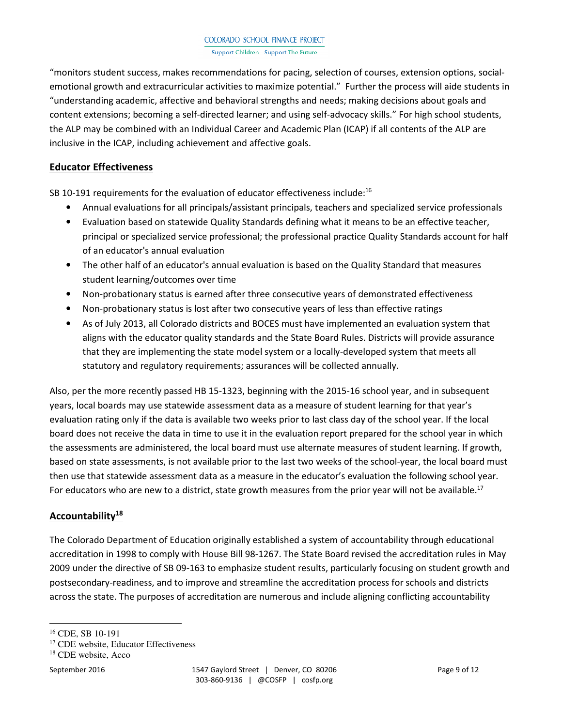"monitors student success, makes recommendations for pacing, selection of courses, extension options, socialemotional growth and extracurricular activities to maximize potential." Further the process will aide students in "understanding academic, affective and behavioral strengths and needs; making decisions about goals and content extensions; becoming a self-directed learner; and using self-advocacy skills." For high school students, the ALP may be combined with an Individual Career and Academic Plan (ICAP) if all contents of the ALP are inclusive in the ICAP, including achievement and affective goals.

## **Educator Effectiveness**

SB 10-191 requirements for the evaluation of educator effectiveness include:<sup>16</sup>

- Annual evaluations for all principals/assistant principals, teachers and specialized service professionals
- Evaluation based on statewide Quality Standards defining what it means to be an effective teacher, principal or specialized service professional; the professional practice Quality Standards account for half of an educator's annual evaluation
- The other half of an educator's annual evaluation is based on the Quality Standard that measures student learning/outcomes over time
- Non-probationary status is earned after three consecutive years of demonstrated effectiveness
- Non-probationary status is lost after two consecutive years of less than effective ratings
- As of July 2013, all Colorado districts and BOCES must have implemented an evaluation system that aligns with the educator quality standards and the State Board Rules. Districts will provide assurance that they are implementing the state model system or a locally-developed system that meets all statutory and regulatory requirements; assurances will be collected annually.

Also, per the more recently passed HB 15-1323, beginning with the 2015-16 school year, and in subsequent years, local boards may use statewide assessment data as a measure of student learning for that year's evaluation rating only if the data is available two weeks prior to last class day of the school year. If the local board does not receive the data in time to use it in the evaluation report prepared for the school year in which the assessments are administered, the local board must use alternate measures of student learning. If growth, based on state assessments, is not available prior to the last two weeks of the school-year, the local board must then use that statewide assessment data as a measure in the educator's evaluation the following school year. For educators who are new to a district, state growth measures from the prior year will not be available.<sup>17</sup>

# **Accountability<sup>18</sup>**

The Colorado Department of Education originally established a system of accountability through educational accreditation in 1998 to comply with House Bill 98-1267. The State Board revised the accreditation rules in May 2009 under the directive of SB 09-163 to emphasize student results, particularly focusing on student growth and postsecondary-readiness, and to improve and streamline the accreditation process for schools and districts across the state. The purposes of accreditation are numerous and include aligning conflicting accountability

 $\overline{a}$ 

<sup>16</sup> CDE, SB 10-191

<sup>&</sup>lt;sup>17</sup> CDE website, Educator Effectiveness

<sup>18</sup> CDE website, Acco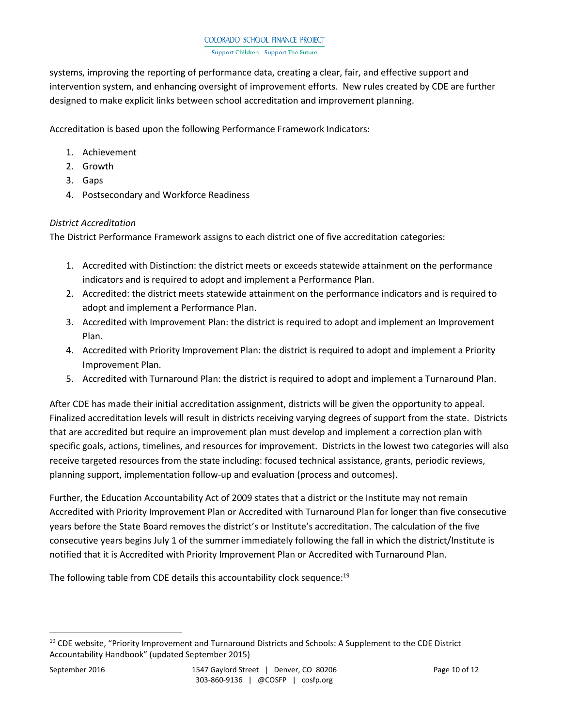systems, improving the reporting of performance data, creating a clear, fair, and effective support and intervention system, and enhancing oversight of improvement efforts. New rules created by CDE are further designed to make explicit links between school accreditation and improvement planning.

Accreditation is based upon the following Performance Framework Indicators:

- 1. Achievement
- 2. Growth
- 3. Gaps
- 4. Postsecondary and Workforce Readiness

# *District Accreditation*

The District Performance Framework assigns to each district one of five accreditation categories:

- 1. Accredited with Distinction: the district meets or exceeds statewide attainment on the performance indicators and is required to adopt and implement a Performance Plan.
- 2. Accredited: the district meets statewide attainment on the performance indicators and is required to adopt and implement a Performance Plan.
- 3. Accredited with Improvement Plan: the district is required to adopt and implement an Improvement Plan.
- 4. Accredited with Priority Improvement Plan: the district is required to adopt and implement a Priority Improvement Plan.
- 5. Accredited with Turnaround Plan: the district is required to adopt and implement a Turnaround Plan.

After CDE has made their initial accreditation assignment, districts will be given the opportunity to appeal. Finalized accreditation levels will result in districts receiving varying degrees of support from the state. Districts that are accredited but require an improvement plan must develop and implement a correction plan with specific goals, actions, timelines, and resources for improvement. Districts in the lowest two categories will also receive targeted resources from the state including: focused technical assistance, grants, periodic reviews, planning support, implementation follow-up and evaluation (process and outcomes).

Further, the Education Accountability Act of 2009 states that a district or the Institute may not remain Accredited with Priority Improvement Plan or Accredited with Turnaround Plan for longer than five consecutive years before the State Board removes the district's or Institute's accreditation. The calculation of the five consecutive years begins July 1 of the summer immediately following the fall in which the district/Institute is notified that it is Accredited with Priority Improvement Plan or Accredited with Turnaround Plan.

The following table from CDE details this accountability clock sequence:<sup>19</sup>

<sup>&</sup>lt;sup>19</sup> CDE website, "Priority Improvement and Turnaround Districts and Schools: A Supplement to the CDE District Accountability Handbook" (updated September 2015)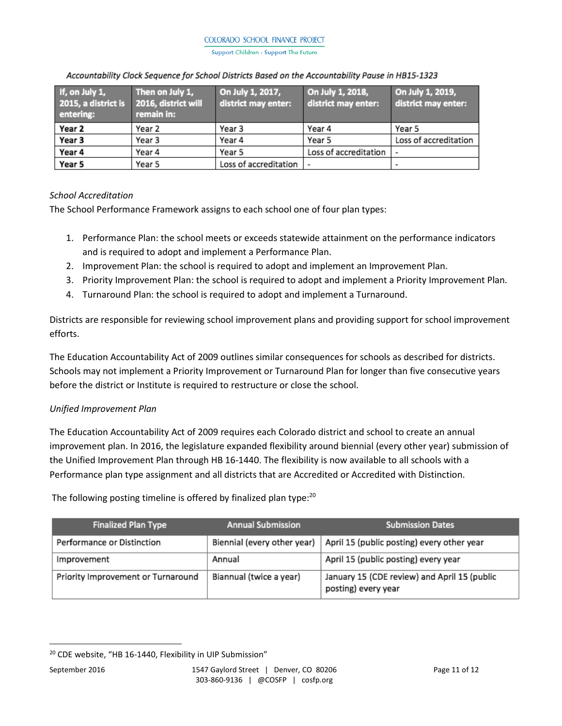Support Children - Support The Future

| If, on July 1,<br>2015, a district is 2016, district will<br>entering: | Then on July 1,<br>remain in: | On July 1, 2017,<br>district may enter: | On July 1, 2018,<br>district may enter: | On July 1, 2019,<br>district may enter: |
|------------------------------------------------------------------------|-------------------------------|-----------------------------------------|-----------------------------------------|-----------------------------------------|
| Year 2                                                                 | Year 2                        | Year 3                                  | Year 4                                  | Year 5                                  |
| Year 3                                                                 | Year 3                        | Year 4                                  | Year 5                                  | Loss of accreditation                   |
| Year 4                                                                 | Year 4                        | Year 5                                  | Loss of accreditation                   |                                         |
| Year 5                                                                 | Year 5                        | Loss of accreditation                   |                                         |                                         |

#### Accountability Clock Sequence for School Districts Based on the Accountability Pause in HB15-1323

# *School Accreditation*

The School Performance Framework assigns to each school one of four plan types:

- 1. Performance Plan: the school meets or exceeds statewide attainment on the performance indicators and is required to adopt and implement a Performance Plan.
- 2. Improvement Plan: the school is required to adopt and implement an Improvement Plan.
- 3. Priority Improvement Plan: the school is required to adopt and implement a Priority Improvement Plan.
- 4. Turnaround Plan: the school is required to adopt and implement a Turnaround.

Districts are responsible for reviewing school improvement plans and providing support for school improvement efforts.

The Education Accountability Act of 2009 outlines similar consequences for schools as described for districts. Schools may not implement a Priority Improvement or Turnaround Plan for longer than five consecutive years before the district or Institute is required to restructure or close the school.

# *Unified Improvement Plan*

The Education Accountability Act of 2009 requires each Colorado district and school to create an annual improvement plan. In 2016, the legislature expanded flexibility around biennial (every other year) submission of the Unified Improvement Plan through HB 16-1440. The flexibility is now available to all schools with a Performance plan type assignment and all districts that are Accredited or Accredited with Distinction.

The following posting timeline is offered by finalized plan type:<sup>20</sup>

| <b>Finalized Plan Type</b>         | <b>Annual Submission</b>    | <b>Submission Dates</b>                                             |
|------------------------------------|-----------------------------|---------------------------------------------------------------------|
| Performance or Distinction         | Biennial (every other year) | April 15 (public posting) every other year                          |
| Improvement                        | Annual                      | April 15 (public posting) every year                                |
| Priority Improvement or Turnaround | Biannual (twice a year)     | January 15 (CDE review) and April 15 (public<br>posting) every year |

<sup>&</sup>lt;sup>20</sup> CDE website, "HB 16-1440, Flexibility in UIP Submission"